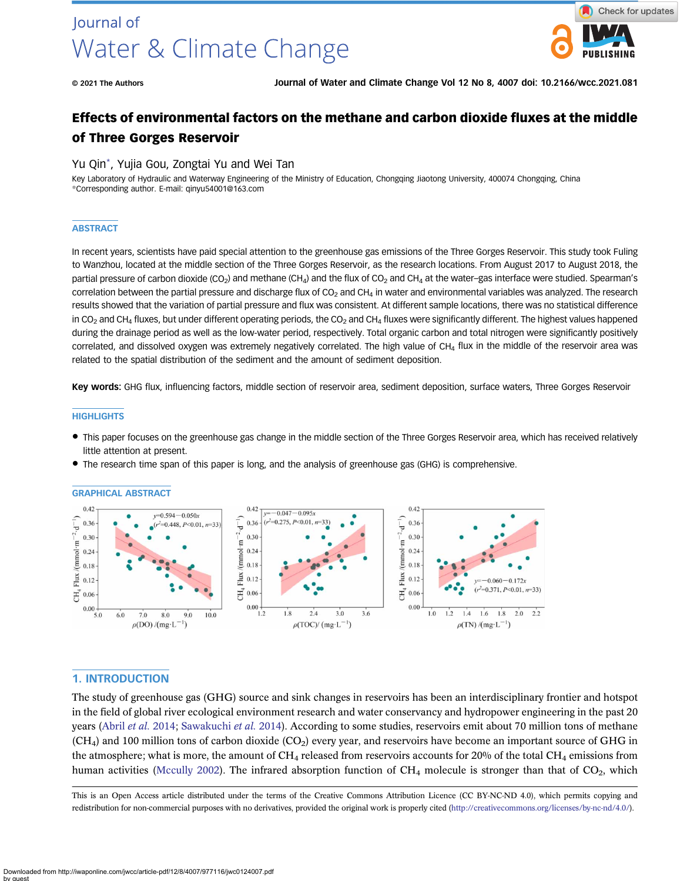# Journal of Water & Climate Change



© 2021 The Authors Journal of Water and Climate Change Vol 12 No 8, 4007 doi: 10.2166/wcc.2021.081

# Effects of environmental factors on the methane and carbon dioxide fluxes at the middle of Three Gorges Reservoir

#### Yu Qin\*, Yujia Gou, Zongtai Yu and Wei Tan

Key Laboratory of Hydraulic and Waterway Engineering of the Ministry of Education, Chongqing Jiaotong University, 400074 Chongqing, China \*Corresponding author. E-mail: [qinyu54001@163.com](mailto:qinyu54001@163.com)

#### **ABSTRACT**

In recent years, scientists have paid special attention to the greenhouse gas emissions of the Three Gorges Reservoir. This study took Fuling to Wanzhou, located at the middle section of the Three Gorges Reservoir, as the research locations. From August 2017 to August 2018, the partial pressure of carbon dioxide (CO<sub>2</sub>) and methane (CH<sub>4</sub>) and the flux of CO<sub>2</sub> and CH<sub>4</sub> at the water–gas interface were studied. Spearman's correlation between the partial pressure and discharge flux of  $CO<sub>2</sub>$  and  $CH<sub>4</sub>$  in water and environmental variables was analyzed. The research results showed that the variation of partial pressure and flux was consistent. At different sample locations, there was no statistical difference in CO<sub>2</sub> and CH<sub>4</sub> fluxes, but under different operating periods, the CO<sub>2</sub> and CH<sub>4</sub> fluxes were significantly different. The highest values happened during the drainage period as well as the low-water period, respectively. Total organic carbon and total nitrogen were significantly positively correlated, and dissolved oxygen was extremely negatively correlated. The high value of  $CH<sub>a</sub>$  flux in the middle of the reservoir area was related to the spatial distribution of the sediment and the amount of sediment deposition.

Key words: GHG flux, influencing factors, middle section of reservoir area, sediment deposition, surface waters, Three Gorges Reservoir

#### **HIGHLIGHTS**

- This paper focuses on the greenhouse gas change in the middle section of the Three Gorges Reservoir area, which has received relatively little attention at present.
- The research time span of this paper is long, and the analysis of greenhouse gas (GHG) is comprehensive.

GRAPHICAL ABSTRACT



# 1. INTRODUCTION

The study of greenhouse gas (GHG) source and sink changes in reservoirs has been an interdisciplinary frontier and hotspot in the field of global river ecological environment research and water conservancy and hydropower engineering in the past 20 years [\(Abril](#page-11-0) et al. 2014; [Sawakuchi](#page-13-0) et al. 2014). According to some studies, reservoirs emit about 70 million tons of methane  $(CH<sub>4</sub>)$  and 100 million tons of carbon dioxide  $(CO<sub>2</sub>)$  every year, and reservoirs have become an important source of GHG in the atmosphere; what is more, the amount of CH<sub>4</sub> released from reservoirs accounts for 20% of the total CH<sub>4</sub> emissions from human activities ([Mccully 2002\)](#page-12-0). The infrared absorption function of  $CH_4$  molecule is stronger than that of  $CO_2$ , which

This is an Open Access article distributed under the terms of the Creative Commons Attribution Licence (CC BY-NC-ND 4.0), which permits copying and redistribution for non-commercial purposes with no derivatives, provided the original work is properly cited ([http://creativecommons.org/licenses/by-nc-nd/4.0/\)](http://creativecommons.org/licenses/by-nc-nd/4.0/).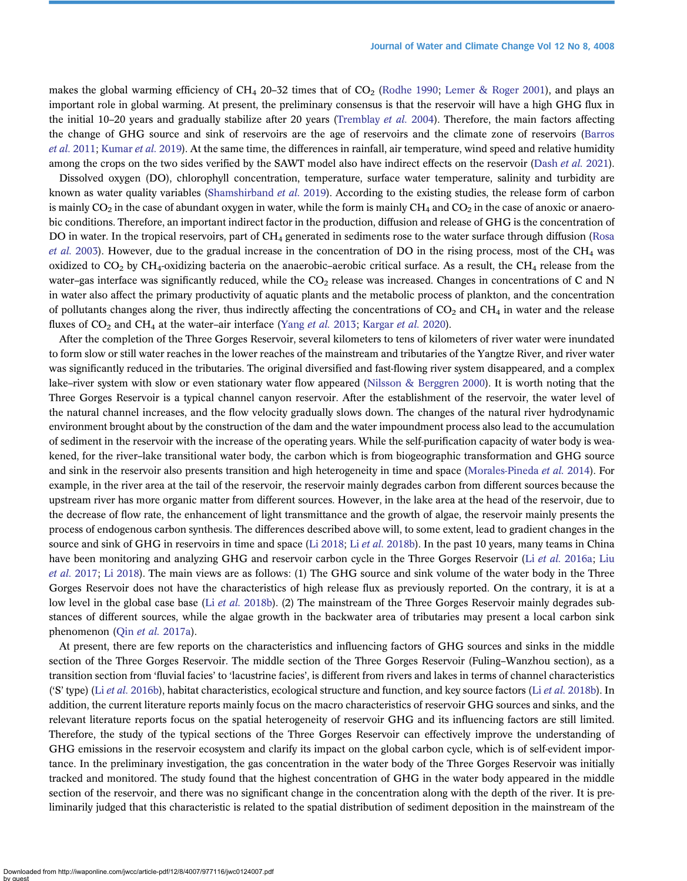makes the global warming efficiency of CH<sub>4</sub> 20–32 times that of  $CO<sub>2</sub>$  [\(Rodhe 1990;](#page-13-0) [Lemer & Roger 2001\)](#page-12-0), and plays an important role in global warming. At present, the preliminary consensus is that the reservoir will have a high GHG flux in the initial 10–20 years and gradually stabilize after 20 years [\(Tremblay](#page-13-0) *et al.* 2004). Therefore, the main factors affecting the change of GHG source and sink of reservoirs are the age of reservoirs and the climate zone of reservoirs ([Barros](#page-11-0) et al. [2011;](#page-11-0) [Kumar](#page-12-0) et al. 2019). At the same time, the differences in rainfall, air temperature, wind speed and relative humidity among the crops on the two sides verified by the SAWT model also have indirect effects on the reservoir ([Dash](#page-11-0) et al. 2021).

Dissolved oxygen (DO), chlorophyll concentration, temperature, surface water temperature, salinity and turbidity are known as water quality variables [\(Shamshirband](#page-13-0) et al. 2019). According to the existing studies, the release form of carbon is mainly  $CO<sub>2</sub>$  in the case of abundant oxygen in water, while the form is mainly  $CH<sub>4</sub>$  and  $CO<sub>2</sub>$  in the case of anoxic or anaerobic conditions. Therefore, an important indirect factor in the production, diffusion and release of GHG is the concentration of DO in water. In the tropical reservoirs, part of CH<sub>4</sub> generated in sediments rose to the water surface through diffusion ([Rosa](#page-13-0) *[et al.](#page-13-0)* 2003). However, due to the gradual increase in the concentration of DO in the rising process, most of the CH<sub>4</sub> was oxidized to  $CO<sub>2</sub>$  by  $CH<sub>4</sub>$ -oxidizing bacteria on the anaerobic–aerobic critical surface. As a result, the CH<sub>4</sub> release from the water–gas interface was significantly reduced, while the  $CO<sub>2</sub>$  release was increased. Changes in concentrations of C and N in water also affect the primary productivity of aquatic plants and the metabolic process of plankton, and the concentration of pollutants changes along the river, thus indirectly affecting the concentrations of  $CO<sub>2</sub>$  and  $CH<sub>4</sub>$  in water and the release fluxes of  $CO_2$  and  $CH_4$  at the water–air interface [\(Yang](#page-13-0) *et al.* 2013; [Kargar](#page-12-0) *et al.* 2020).

After the completion of the Three Gorges Reservoir, several kilometers to tens of kilometers of river water were inundated to form slow or still water reaches in the lower reaches of the mainstream and tributaries of the Yangtze River, and river water was significantly reduced in the tributaries. The original diversified and fast-flowing river system disappeared, and a complex lake–river system with slow or even stationary water flow appeared ([Nilsson & Berggren 2000](#page-12-0)). It is worth noting that the Three Gorges Reservoir is a typical channel canyon reservoir. After the establishment of the reservoir, the water level of the natural channel increases, and the flow velocity gradually slows down. The changes of the natural river hydrodynamic environment brought about by the construction of the dam and the water impoundment process also lead to the accumulation of sediment in the reservoir with the increase of the operating years. While the self-purification capacity of water body is weakened, for the river–lake transitional water body, the carbon which is from biogeographic transformation and GHG source and sink in the reservoir also presents transition and high heterogeneity in time and space [\(Morales-Pineda](#page-12-0) et al. 2014). For example, in the river area at the tail of the reservoir, the reservoir mainly degrades carbon from different sources because the upstream river has more organic matter from different sources. However, in the lake area at the head of the reservoir, due to the decrease of flow rate, the enhancement of light transmittance and the growth of algae, the reservoir mainly presents the process of endogenous carbon synthesis. The differences described above will, to some extent, lead to gradient changes in the source and sink of GHG in reservoirs in time and space [\(Li 2018](#page-12-0); Li et al. [2018b](#page-12-0)). In the past 10 years, many teams in China have been monitoring and analyzing GHG and reservoir carbon cycle in the Three Gorges Reservoir (Li et al. [2016a;](#page-12-0) [Liu](#page-12-0) [et al.](#page-12-0) 2017; [Li 2018\)](#page-12-0). The main views are as follows: (1) The GHG source and sink volume of the water body in the Three Gorges Reservoir does not have the characteristics of high release flux as previously reported. On the contrary, it is at a low level in the global case base (Li et al. [2018b\)](#page-12-0). (2) The mainstream of the Three Gorges Reservoir mainly degrades substances of different sources, while the algae growth in the backwater area of tributaries may present a local carbon sink phenomenon (Qin et al. [2017a](#page-13-0)).

At present, there are few reports on the characteristics and influencing factors of GHG sources and sinks in the middle section of the Three Gorges Reservoir. The middle section of the Three Gorges Reservoir (Fuling–Wanzhou section), as a transition section from 'fluvial facies' to 'lacustrine facies', is different from rivers and lakes in terms of channel characteristics ('S' type) (Li et al. [2016b\)](#page-12-0), habitat characteristics, ecological structure and function, and key source factors (Li et al. [2018b](#page-12-0)). In addition, the current literature reports mainly focus on the macro characteristics of reservoir GHG sources and sinks, and the relevant literature reports focus on the spatial heterogeneity of reservoir GHG and its influencing factors are still limited. Therefore, the study of the typical sections of the Three Gorges Reservoir can effectively improve the understanding of GHG emissions in the reservoir ecosystem and clarify its impact on the global carbon cycle, which is of self-evident importance. In the preliminary investigation, the gas concentration in the water body of the Three Gorges Reservoir was initially tracked and monitored. The study found that the highest concentration of GHG in the water body appeared in the middle section of the reservoir, and there was no significant change in the concentration along with the depth of the river. It is preliminarily judged that this characteristic is related to the spatial distribution of sediment deposition in the mainstream of the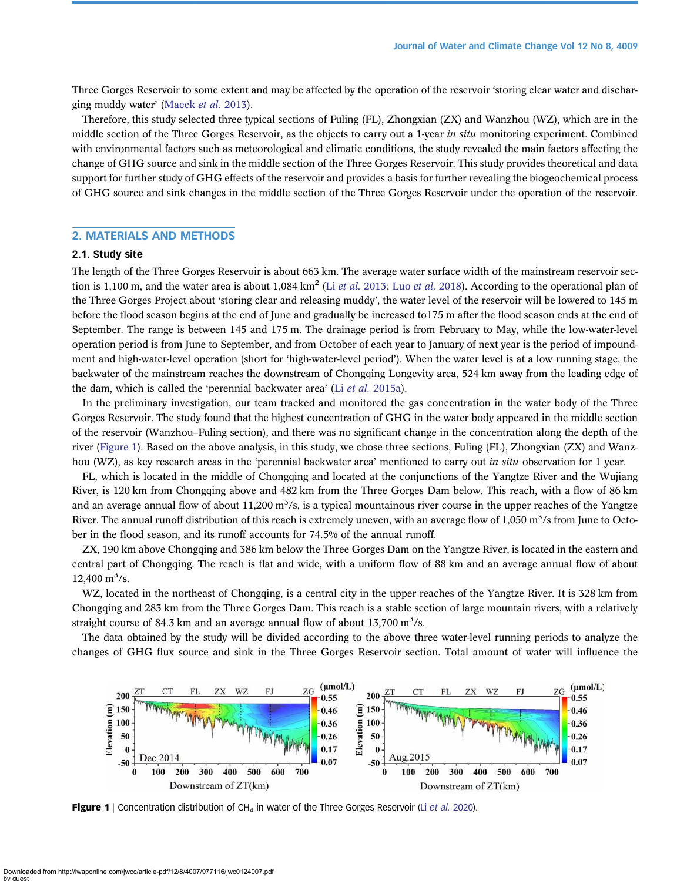Three Gorges Reservoir to some extent and may be affected by the operation of the reservoir 'storing clear water and discharging muddy water' ([Maeck](#page-12-0) et al. 2013).

Therefore, this study selected three typical sections of Fuling (FL), Zhongxian (ZX) and Wanzhou (WZ), which are in the middle section of the Three Gorges Reservoir, as the objects to carry out a 1-year in situ monitoring experiment. Combined with environmental factors such as meteorological and climatic conditions, the study revealed the main factors affecting the change of GHG source and sink in the middle section of the Three Gorges Reservoir. This study provides theoretical and data support for further study of GHG effects of the reservoir and provides a basis for further revealing the biogeochemical process of GHG source and sink changes in the middle section of the Three Gorges Reservoir under the operation of the reservoir.

#### 2. MATERIALS AND METHODS

#### 2.1. Study site

The length of the Three Gorges Reservoir is about 663 km. The average water surface width of the mainstream reservoir sec-tion is 1,100 m, and the water area is about 1,084 km<sup>2</sup> (Li et al. [2013;](#page-12-0) Luo et al. [2018\)](#page-12-0). According to the operational plan of the Three Gorges Project about 'storing clear and releasing muddy', the water level of the reservoir will be lowered to 145 m before the flood season begins at the end of June and gradually be increased to175 m after the flood season ends at the end of September. The range is between 145 and 175 m. The drainage period is from February to May, while the low-water-level operation period is from June to September, and from October of each year to January of next year is the period of impoundment and high-water-level operation (short for 'high-water-level period'). When the water level is at a low running stage, the backwater of the mainstream reaches the downstream of Chongqing Longevity area, 524 km away from the leading edge of the dam, which is called the 'perennial backwater area' (Li et al. [2015a\)](#page-12-0).

In the preliminary investigation, our team tracked and monitored the gas concentration in the water body of the Three Gorges Reservoir. The study found that the highest concentration of GHG in the water body appeared in the middle section of the reservoir (Wanzhou–Fuling section), and there was no significant change in the concentration along the depth of the river (Figure 1). Based on the above analysis, in this study, we chose three sections, Fuling (FL), Zhongxian (ZX) and Wanzhou (WZ), as key research areas in the 'perennial backwater area' mentioned to carry out in situ observation for 1 year.

FL, which is located in the middle of Chongqing and located at the conjunctions of the Yangtze River and the Wujiang River, is 120 km from Chongqing above and 482 km from the Three Gorges Dam below. This reach, with a flow of 86 km and an average annual flow of about 11,200 m<sup>3</sup>/s, is a typical mountainous river course in the upper reaches of the Yangtze River. The annual runoff distribution of this reach is extremely uneven, with an average flow of 1,050  $m^3/s$  from June to October in the flood season, and its runoff accounts for 74.5% of the annual runoff.

ZX, 190 km above Chongqing and 386 km below the Three Gorges Dam on the Yangtze River, is located in the eastern and central part of Chongqing. The reach is flat and wide, with a uniform flow of 88 km and an average annual flow of about  $12,400 \text{ m}^3/\text{s}$ .

WZ, located in the northeast of Chongqing, is a central city in the upper reaches of the Yangtze River. It is 328 km from Chongqing and 283 km from the Three Gorges Dam. This reach is a stable section of large mountain rivers, with a relatively straight course of 84.3 km and an average annual flow of about 13,700  $\text{m}^3$ /s.

The data obtained by the study will be divided according to the above three water-level running periods to analyze the changes of GHG flux source and sink in the Three Gorges Reservoir section. Total amount of water will influence the



Figure 1 | Concentration distribution of CH<sub>4</sub> in water of the Three Gorges Reservoir (Li [et al.](#page-12-0) 2020).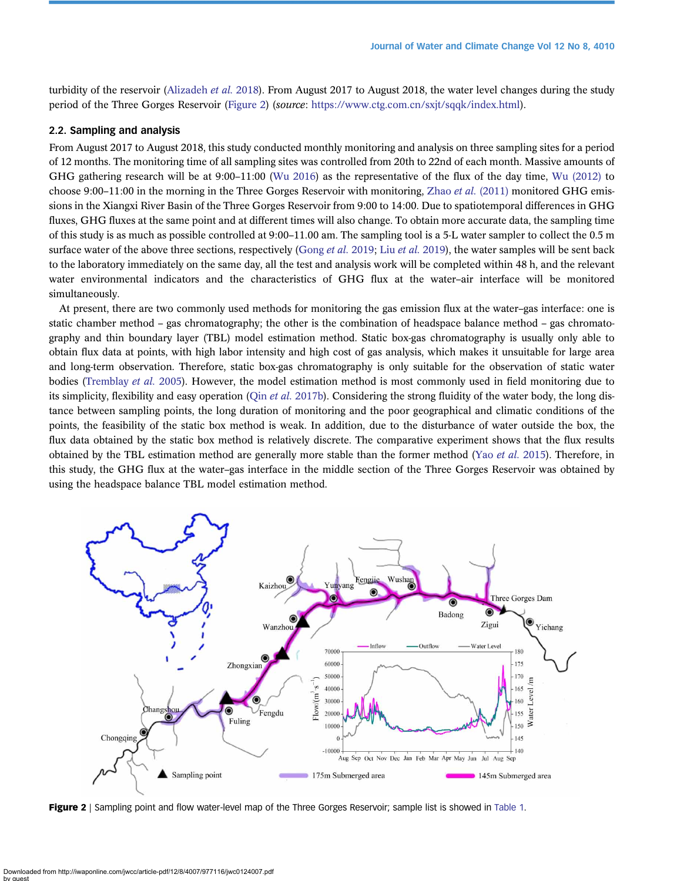turbidity of the reservoir [\(Alizadeh](#page-11-0) et al. 2018). From August 2017 to August 2018, the water level changes during the study period of the Three Gorges Reservoir (Figure 2) (source: <https://www.ctg.com.cn/sxjt/sqqk/index.html>).

# 2.2. Sampling and analysis

From August 2017 to August 2018, this study conducted monthly monitoring and analysis on three sampling sites for a period of 12 months. The monitoring time of all sampling sites was controlled from 20th to 22nd of each month. Massive amounts of GHG gathering research will be at 9:00–11:00 [\(Wu 2016](#page-13-0)) as the representative of the flux of the day time, [Wu \(2012\)](#page-13-0) to choose 9:00–11:00 in the morning in the Three Gorges Reservoir with monitoring, Zhao et al. [\(2011\)](#page-13-0) monitored GHG emissions in the Xiangxi River Basin of the Three Gorges Reservoir from 9:00 to 14:00. Due to spatiotemporal differences in GHG fluxes, GHG fluxes at the same point and at different times will also change. To obtain more accurate data, the sampling time of this study is as much as possible controlled at 9:00–11.00 am. The sampling tool is a 5-L water sampler to collect the 0.5 m surface water of the above three sections, respectively [\(Gong](#page-12-0) *et al.* [2019](#page-12-0); Liu *et al.* 2019), the water samples will be sent back to the laboratory immediately on the same day, all the test and analysis work will be completed within 48 h, and the relevant water environmental indicators and the characteristics of GHG flux at the water–air interface will be monitored simultaneously.

At present, there are two commonly used methods for monitoring the gas emission flux at the water–gas interface: one is static chamber method – gas chromatography; the other is the combination of headspace balance method – gas chromatography and thin boundary layer (TBL) model estimation method. Static box-gas chromatography is usually only able to obtain flux data at points, with high labor intensity and high cost of gas analysis, which makes it unsuitable for large area and long-term observation. Therefore, static box-gas chromatography is only suitable for the observation of static water bodies [\(Tremblay](#page-13-0) et al. 2005). However, the model estimation method is most commonly used in field monitoring due to its simplicity, flexibility and easy operation (Qin *et al.* [2017b\)](#page-13-0). Considering the strong fluidity of the water body, the long distance between sampling points, the long duration of monitoring and the poor geographical and climatic conditions of the points, the feasibility of the static box method is weak. In addition, due to the disturbance of water outside the box, the flux data obtained by the static box method is relatively discrete. The comparative experiment shows that the flux results obtained by the TBL estimation method are generally more stable than the former method (Yao [et al.](#page-13-0) 2015). Therefore, in this study, the GHG flux at the water–gas interface in the middle section of the Three Gorges Reservoir was obtained by using the headspace balance TBL model estimation method.



Figure 2 | Sampling point and flow water-level map of the Three Gorges Reservoir; sample list is showed in [Table 1](#page-4-0).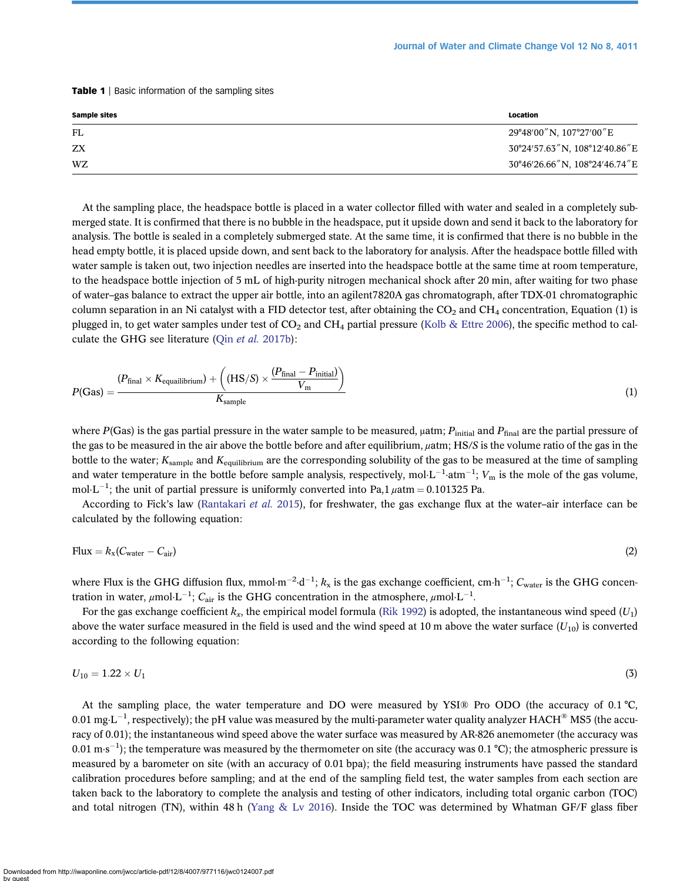<span id="page-4-0"></span>Table 1 | Basic information of the sampling sites

| <b>Sample sites</b> | Location                        |
|---------------------|---------------------------------|
| FL                  | 29°48′00"N, 107°27′00"E         |
| ZX                  | 30°24′57.63″N, 108°12′40.86″E   |
| WZ                  | 30°46′26.66" N, 108°24′46.74" E |

At the sampling place, the headspace bottle is placed in a water collector filled with water and sealed in a completely submerged state. It is confirmed that there is no bubble in the headspace, put it upside down and send it back to the laboratory for analysis. The bottle is sealed in a completely submerged state. At the same time, it is confirmed that there is no bubble in the head empty bottle, it is placed upside down, and sent back to the laboratory for analysis. After the headspace bottle filled with water sample is taken out, two injection needles are inserted into the headspace bottle at the same time at room temperature, to the headspace bottle injection of 5 mL of high-purity nitrogen mechanical shock after 20 min, after waiting for two phase of water–gas balance to extract the upper air bottle, into an agilent7820A gas chromatograph, after TDX-01 chromatographic column separation in an Ni catalyst with a FID detector test, after obtaining the  $CO_2$  and  $CH_4$  concentration, Equation (1) is plugged in, to get water samples under test of  $CO_2$  and  $CH_4$  partial pressure [\(Kolb & Ettre 2006\)](#page-12-0), the specific method to cal-culate the GHG see literature (Qin et al. [2017b](#page-13-0)):

$$
P(Gas) = \frac{(P_{\text{final}} \times K_{\text{equailibrium}}) + ((HS/S) \times \frac{(P_{\text{final}} - P_{\text{initial}})}{V_{\text{m}}})}{K_{\text{sample}}}
$$
(1)

where  $P(Gas)$  is the gas partial pressure in the water sample to be measured,  $\mu$ atm;  $P_{initial}$  and  $P_{final}$  are the partial pressure of the gas to be measured in the air above the bottle before and after equilibrium, μatm; HS/S is the volume ratio of the gas in the bottle to the water;  $K_{\text{sample}}$  and  $K_{\text{equilibrium}}$  are the corresponding solubility of the gas to be measured at the time of sampling and water temperature in the bottle before sample analysis, respectively, mol $L^{-1}$ -atm<sup>-1</sup>;  $V_m$  is the mole of the gas volume, mol·L<sup>-1</sup>; the unit of partial pressure is uniformly converted into Pa,1  $\mu$ atm = 0.101325 Pa.

According to Fick's law [\(Rantakari](#page-13-0) et al. 2015), for freshwater, the gas exchange flux at the water–air interface can be calculated by the following equation:

$$
Flux = k_x(C_{water} - C_{air})
$$
 (2)

where Flux is the GHG diffusion flux, mmol·m<sup>-2</sup>·d<sup>-1</sup>;  $k_x$  is the gas exchange coefficient, cm·h<sup>-1</sup>;  $C_{water}$  is the GHG concentration in water,  $\mu$ mol·L<sup>-1</sup>;  $C_{air}$  is the GHG concentration in the atmosphere,  $\mu$ mol·L<sup>-1</sup>.

For the gas exchange coefficient  $k_x$ , the empirical model formula [\(Rik 1992\)](#page-13-0) is adopted, the instantaneous wind speed ( $U_1$ ) above the water surface measured in the field is used and the wind speed at 10 m above the water surface  $(U_{10})$  is converted according to the following equation:

$$
U_{10} = 1.22 \times U_1 \tag{3}
$$

At the sampling place, the water temperature and DO were measured by YSI® Pro ODO (the accuracy of 0.1 °C, 0.01 mg·L $^{-1}$ , respectively); the pH value was measured by the multi-parameter water quality analyzer HACH® MS5 (the accuracy of 0.01); the instantaneous wind speed above the water surface was measured by AR-826 anemometer (the accuracy was 0.01 m·s<sup>-1</sup>); the temperature was measured by the thermometer on site (the accuracy was 0.1 °C); the atmospheric pressure is measured by a barometer on site (with an accuracy of 0.01 bpa); the field measuring instruments have passed the standard calibration procedures before sampling; and at the end of the sampling field test, the water samples from each section are taken back to the laboratory to complete the analysis and testing of other indicators, including total organic carbon (TOC) and total nitrogen (TN), within 48 h ([Yang & Lv 2016\)](#page-13-0). Inside the TOC was determined by Whatman GF/F glass fiber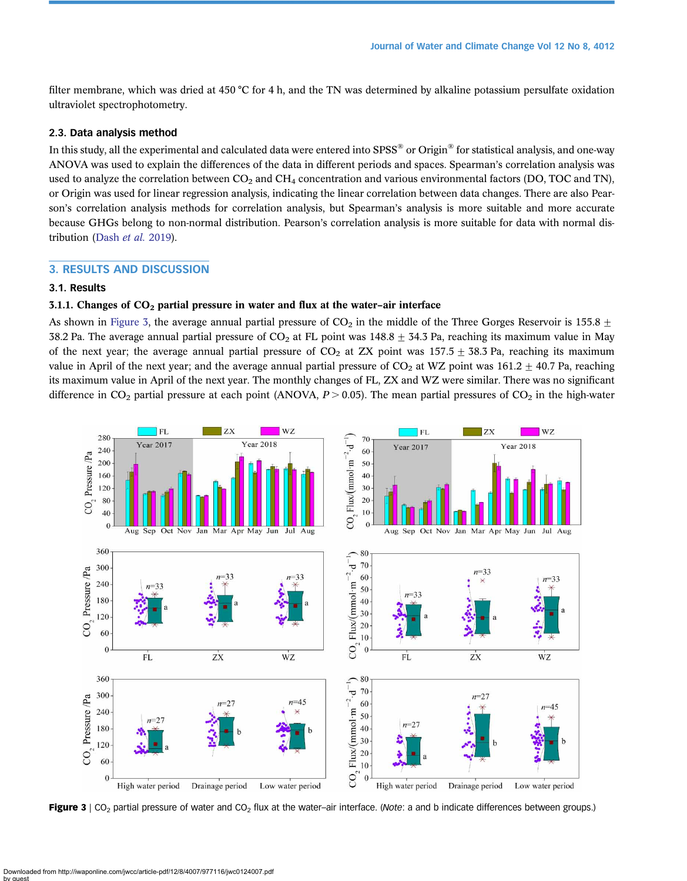filter membrane, which was dried at 450 °C for 4 h, and the TN was determined by alkaline potassium persulfate oxidation ultraviolet spectrophotometry.

#### 2.3. Data analysis method

In this study, all the experimental and calculated data were entered into SPSS<sup>®</sup> or Origin<sup>®</sup> for statistical analysis, and one-way ANOVA was used to explain the differences of the data in different periods and spaces. Spearman's correlation analysis was used to analyze the correlation between  $CO<sub>2</sub>$  and  $CH<sub>4</sub>$  concentration and various environmental factors (DO, TOC and TN), or Origin was used for linear regression analysis, indicating the linear correlation between data changes. There are also Pearson's correlation analysis methods for correlation analysis, but Spearman's analysis is more suitable and more accurate because GHGs belong to non-normal distribution. Pearson's correlation analysis is more suitable for data with normal distribution ([Dash](#page-11-0) et al. 2019).

#### 3. RESULTS AND DISCUSSION

## 3.1. Results

# 3.1.1. Changes of  $CO<sub>2</sub>$  partial pressure in water and flux at the water-air interface

As shown in Figure 3, the average annual partial pressure of  $CO_2$  in the middle of the Three Gorges Reservoir is 155.8  $\pm$ 38.2 Pa. The average annual partial pressure of  $CO_2$  at FL point was 148.8  $\pm$  34.3 Pa, reaching its maximum value in May of the next year; the average annual partial pressure of  $CO_2$  at ZX point was 157.5  $\pm$  38.3 Pa, reaching its maximum value in April of the next year; and the average annual partial pressure of  $CO_2$  at WZ point was 161.2  $\pm$  40.7 Pa, reaching its maximum value in April of the next year. The monthly changes of FL, ZX and WZ were similar. There was no significant difference in  $CO_2$  partial pressure at each point (ANOVA,  $P > 0.05$ ). The mean partial pressures of  $CO_2$  in the high-water



Figure 3 | CO<sub>2</sub> partial pressure of water and CO<sub>2</sub> flux at the water–air interface. (Note: a and b indicate differences between groups.)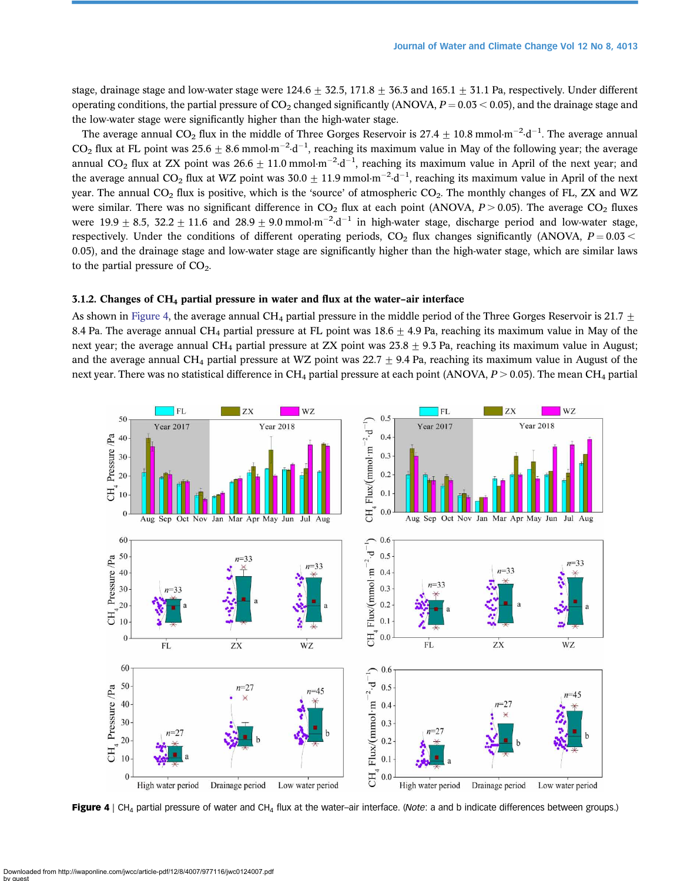stage, drainage stage and low-water stage were 124.6  $\pm$  32.5, 171.8  $\pm$  36.3 and 165.1  $\pm$  31.1 Pa, respectively. Under different operating conditions, the partial pressure of  $CO<sub>2</sub>$  changed significantly (ANOVA,  $P = 0.03 < 0.05$ ), and the drainage stage and the low-water stage were significantly higher than the high-water stage.

The average annual CO<sub>2</sub> flux in the middle of Three Gorges Reservoir is 27.4  $\pm$  10.8 mmol·m<sup>-2</sup>·d<sup>-1</sup>. The average annual  $CO_2$  flux at FL point was  $25.6 \pm 8.6$  mmol·m<sup>-2</sup>·d<sup>-1</sup>, reaching its maximum value in May of the following year; the average annual CO<sub>2</sub> flux at ZX point was  $26.6 \pm 11.0$  mmol·m<sup>-2</sup>·d<sup>-1</sup>, reaching its maximum value in April of the next year; and the average annual CO<sub>2</sub> flux at WZ point was  $30.0 \pm 11.9$  mmol·m<sup>-2</sup>·d<sup>-1</sup>, reaching its maximum value in April of the next year. The annual  $CO<sub>2</sub>$  flux is positive, which is the 'source' of atmospheric  $CO<sub>2</sub>$ . The monthly changes of FL, ZX and WZ were similar. There was no significant difference in  $CO<sub>2</sub>$  flux at each point (ANOVA,  $P > 0.05$ ). The average  $CO<sub>2</sub>$  fluxes were  $19.9 \pm 8.5$ ,  $32.2 \pm 11.6$  and  $28.9 \pm 9.0$  mmol·m<sup>-2</sup>·d<sup>-1</sup> in high-water stage, discharge period and low-water stage, respectively. Under the conditions of different operating periods,  $CO<sub>2</sub>$  flux changes significantly (ANOVA,  $P = 0.03 <$ 0.05), and the drainage stage and low-water stage are significantly higher than the high-water stage, which are similar laws to the partial pressure of  $CO<sub>2</sub>$ .

# 3.1.2. Changes of CH4 partial pressure in water and flux at the water–air interface

As shown in Figure 4, the average annual CH<sub>4</sub> partial pressure in the middle period of the Three Gorges Reservoir is 21.7  $\pm$ 8.4 Pa. The average annual CH<sub>4</sub> partial pressure at FL point was  $18.6 \pm 4.9$  Pa, reaching its maximum value in May of the next year; the average annual CH<sub>4</sub> partial pressure at ZX point was  $23.8 \pm 9.3$  Pa, reaching its maximum value in August; and the average annual CH<sub>4</sub> partial pressure at WZ point was 22.7  $\pm$  9.4 Pa, reaching its maximum value in August of the next year. There was no statistical difference in  $CH_4$  partial pressure at each point (ANOVA,  $P > 0.05$ ). The mean CH<sub>4</sub> partial



Figure 4 | CH<sub>4</sub> partial pressure of water and CH<sub>4</sub> flux at the water-air interface. (Note: a and b indicate differences between groups.)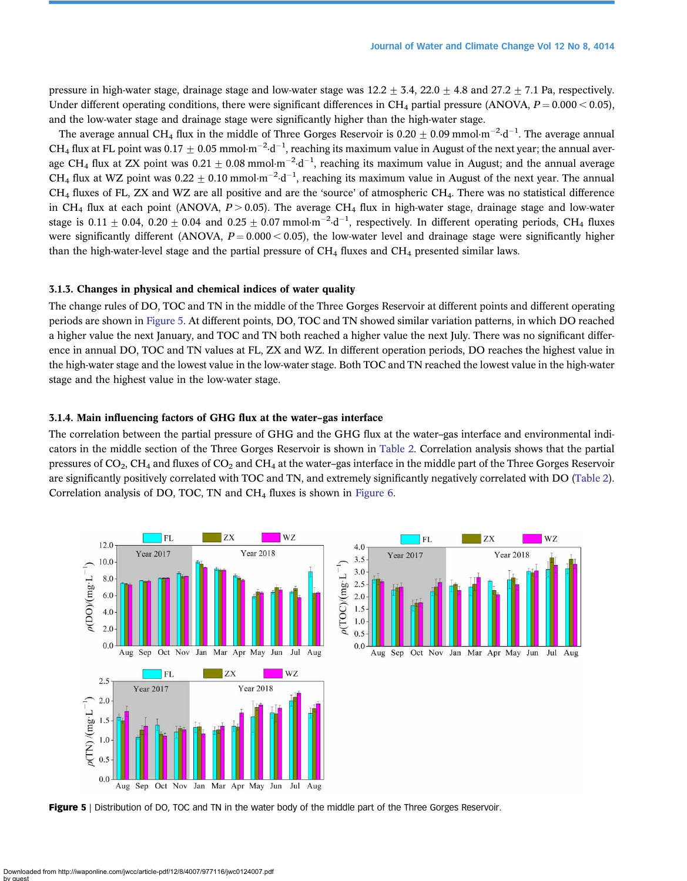pressure in high-water stage, drainage stage and low-water stage was  $12.2 \pm 3.4$ ,  $22.0 \pm 4.8$  and  $27.2 \pm 7.1$  Pa, respectively. Under different operating conditions, there were significant differences in CH<sub>4</sub> partial pressure (ANOVA,  $P = 0.000 < 0.05$ ), and the low-water stage and drainage stage were significantly higher than the high-water stage.

The average annual CH<sub>4</sub> flux in the middle of Three Gorges Reservoir is 0.20  $\pm$  0.09 mmol·m<sup>-2</sup>·d<sup>-1</sup>. The average annual CH<sub>4</sub> flux at FL point was  $0.17 \pm 0.05$  mmol·m<sup>-2</sup>·d<sup>-1</sup>, reaching its maximum value in August of the next year; the annual average CH<sub>4</sub> flux at ZX point was  $0.21 \pm 0.08$  mmol·m<sup>-2</sup>·d<sup>-1</sup>, reaching its maximum value in August; and the annual average CH<sub>4</sub> flux at WZ point was  $0.22 \pm 0.10$  mmol·m<sup>-2</sup>·d<sup>-1</sup>, reaching its maximum value in August of the next year. The annual  $CH<sub>4</sub>$  fluxes of FL, ZX and WZ are all positive and are the 'source' of atmospheric  $CH<sub>4</sub>$ . There was no statistical difference in CH<sub>4</sub> flux at each point (ANOVA,  $P > 0.05$ ). The average CH<sub>4</sub> flux in high-water stage, drainage stage and low-water stage is  $0.11 \pm 0.04$ ,  $0.20 \pm 0.04$  and  $0.25 \pm 0.07$  mmol·m<sup>-2</sup>·d<sup>-1</sup>, respectively. In different operating periods, CH<sub>4</sub> fluxes were significantly different (ANOVA,  $P = 0.000 < 0.05$ ), the low-water level and drainage stage were significantly higher than the high-water-level stage and the partial pressure of  $CH_4$  fluxes and  $CH_4$  presented similar laws.

#### 3.1.3. Changes in physical and chemical indices of water quality

The change rules of DO, TOC and TN in the middle of the Three Gorges Reservoir at different points and different operating periods are shown in Figure 5. At different points, DO, TOC and TN showed similar variation patterns, in which DO reached a higher value the next January, and TOC and TN both reached a higher value the next July. There was no significant difference in annual DO, TOC and TN values at FL, ZX and WZ. In different operation periods, DO reaches the highest value in the high-water stage and the lowest value in the low-water stage. Both TOC and TN reached the lowest value in the high-water stage and the highest value in the low-water stage.

## 3.1.4. Main influencing factors of GHG flux at the water–gas interface

The correlation between the partial pressure of GHG and the GHG flux at the water–gas interface and environmental indicators in the middle section of the Three Gorges Reservoir is shown in [Table 2](#page-8-0). Correlation analysis shows that the partial pressures of  $CO_2$ ,  $CH_4$  and fluxes of  $CO_2$  and  $CH_4$  at the water–gas interface in the middle part of the Three Gorges Reservoir are significantly positively correlated with TOC and TN, and extremely significantly negatively correlated with DO [\(Table 2](#page-8-0)). Correlation analysis of DO, TOC, TN and  $CH<sub>4</sub>$  fluxes is shown in [Figure 6.](#page-8-0)





Figure 5 | Distribution of DO, TOC and TN in the water body of the middle part of the Three Gorges Reservoir.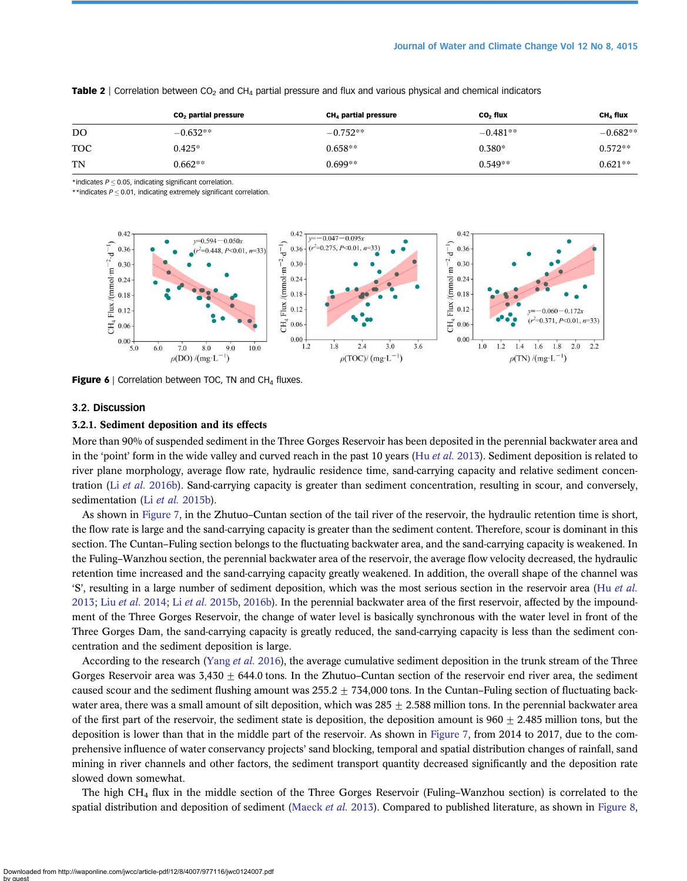|     | $CO2$ partial pressure | CH <sub>4</sub> partial pressure | CO <sub>2</sub> flux | CH <sub>4</sub> flux |
|-----|------------------------|----------------------------------|----------------------|----------------------|
| DO  | $-0.632**$             | $-0.752**$                       | $-0.481**$           | $-0.682**$           |
| TOC | $0.425*$               | $0.658**$                        | $0.380*$             | $0.572**$            |
| TN  | $0.662**$              | $0.699**$                        | $0.549**$            | $0.621**$            |

<span id="page-8-0"></span>Table 2 | Correlation between  $CO<sub>2</sub>$  and  $CH<sub>4</sub>$  partial pressure and flux and various physical and chemical indicators

 $*$ indicates  $P < 0.05$ , indicating significant correlation.

\*\*indicates  $P \le 0.01$ , indicating extremely significant correlation.



**Figure 6** | Correlation between TOC, TN and  $CH<sub>4</sub>$  fluxes.

#### 3.2. Discussion

#### 3.2.1. Sediment deposition and its effects

More than 90% of suspended sediment in the Three Gorges Reservoir has been deposited in the perennial backwater area and in the 'point' form in the wide valley and curved reach in the past 10 years (Hu et al. [2013\)](#page-12-0). Sediment deposition is related to river plane morphology, average flow rate, hydraulic residence time, sand-carrying capacity and relative sediment concen-tration (Li et al. [2016b](#page-12-0)). Sand-carrying capacity is greater than sediment concentration, resulting in scour, and conversely, sedimentation (Li et al. [2015b\)](#page-12-0).

As shown in [Figure 7](#page-9-0), in the Zhutuo–Cuntan section of the tail river of the reservoir, the hydraulic retention time is short, the flow rate is large and the sand-carrying capacity is greater than the sediment content. Therefore, scour is dominant in this section. The Cuntan–Fuling section belongs to the fluctuating backwater area, and the sand-carrying capacity is weakened. In the Fuling–Wanzhou section, the perennial backwater area of the reservoir, the average flow velocity decreased, the hydraulic retention time increased and the sand-carrying capacity greatly weakened. In addition, the overall shape of the channel was 'S', resulting in a large number of sediment deposition, which was the most serious section in the reservoir area (Hu [et al.](#page-12-0) [2013;](#page-12-0) Liu et al. [2014;](#page-12-0) Li et al. [2015b](#page-12-0), [2016b\)](#page-12-0). In the perennial backwater area of the first reservoir, affected by the impoundment of the Three Gorges Reservoir, the change of water level is basically synchronous with the water level in front of the Three Gorges Dam, the sand-carrying capacity is greatly reduced, the sand-carrying capacity is less than the sediment concentration and the sediment deposition is large.

According to the research [\(Yang](#page-13-0) et al. 2016), the average cumulative sediment deposition in the trunk stream of the Three Gorges Reservoir area was  $3,430 \pm 644.0$  tons. In the Zhutuo–Cuntan section of the reservoir end river area, the sediment caused scour and the sediment flushing amount was  $255.2 \pm 734,000$  tons. In the Cuntan–Fuling section of fluctuating backwater area, there was a small amount of silt deposition, which was  $285 \pm 2.588$  million tons. In the perennial backwater area of the first part of the reservoir, the sediment state is deposition, the deposition amount is  $960 + 2.485$  million tons, but the deposition is lower than that in the middle part of the reservoir. As shown in [Figure 7,](#page-9-0) from 2014 to 2017, due to the comprehensive influence of water conservancy projects' sand blocking, temporal and spatial distribution changes of rainfall, sand mining in river channels and other factors, the sediment transport quantity decreased significantly and the deposition rate slowed down somewhat.

The high CH4 flux in the middle section of the Three Gorges Reservoir (Fuling–Wanzhou section) is correlated to the spatial distribution and deposition of sediment ([Maeck](#page-12-0) et al. 2013). Compared to published literature, as shown in [Figure 8,](#page-9-0)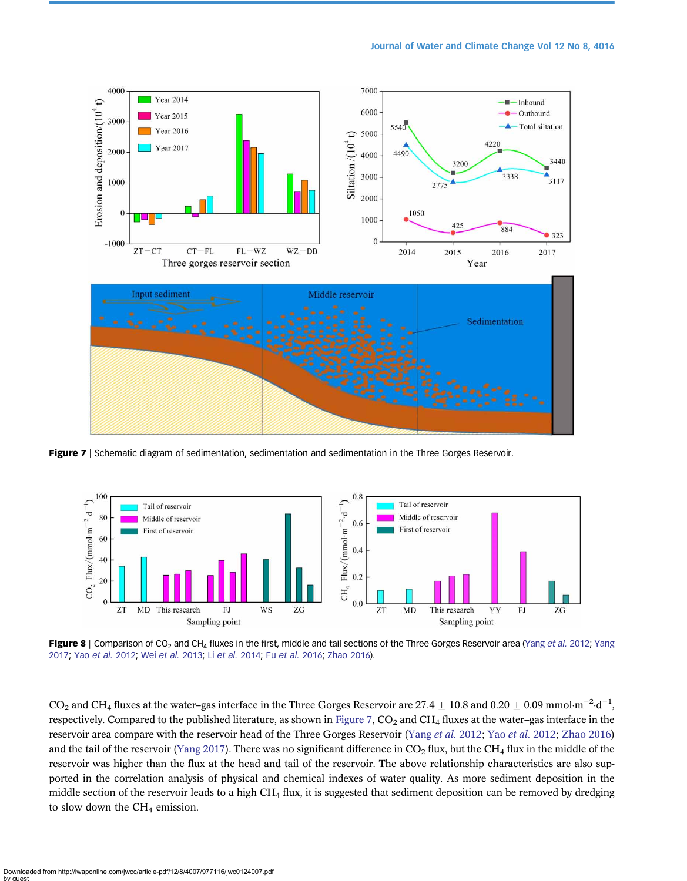<span id="page-9-0"></span>

Figure 7 | Schematic diagram of sedimentation, sedimentation and sedimentation in the Three Gorges Reservoir.



Figure 8 | Comparison of CO<sub>2</sub> and CH<sub>4</sub> fluxes in the first, middle and tail sections of the Three Gorges Reservoir area ([Yang](#page-12-0) et al. 2012; Yang [2017](#page-12-0); Yao [et al.](#page-13-0) 2012; Wei [et al.](#page-13-0) 2013; Li [et al.](#page-12-0) 2014; Fu [et al.](#page-11-0) 2016; [Zhao 2016\)](#page-13-0).

CO<sub>2</sub> and CH<sub>4</sub> fluxes at the water-gas interface in the Three Gorges Reservoir are 27.4  $\pm$  10.8 and 0.20  $\pm$  0.09 mmol·m<sup>-2</sup>·d<sup>-1</sup>, respectively. Compared to the published literature, as shown in Figure 7,  $CO<sub>2</sub>$  and  $CH<sub>4</sub>$  fluxes at the water–gas interface in the reservoir area compare with the reservoir head of the Three Gorges Reservoir [\(Yang](#page-13-0) et al. [2012](#page-13-0); Yao et al. 2012; [Zhao 2016](#page-13-0)) and the tail of the reservoir [\(Yang 2017\)](#page-12-0). There was no significant difference in  $CO_2$  flux, but the CH<sub>4</sub> flux in the middle of the reservoir was higher than the flux at the head and tail of the reservoir. The above relationship characteristics are also supported in the correlation analysis of physical and chemical indexes of water quality. As more sediment deposition in the middle section of the reservoir leads to a high  $CH_4$  flux, it is suggested that sediment deposition can be removed by dredging to slow down the  $CH<sub>4</sub>$  emission.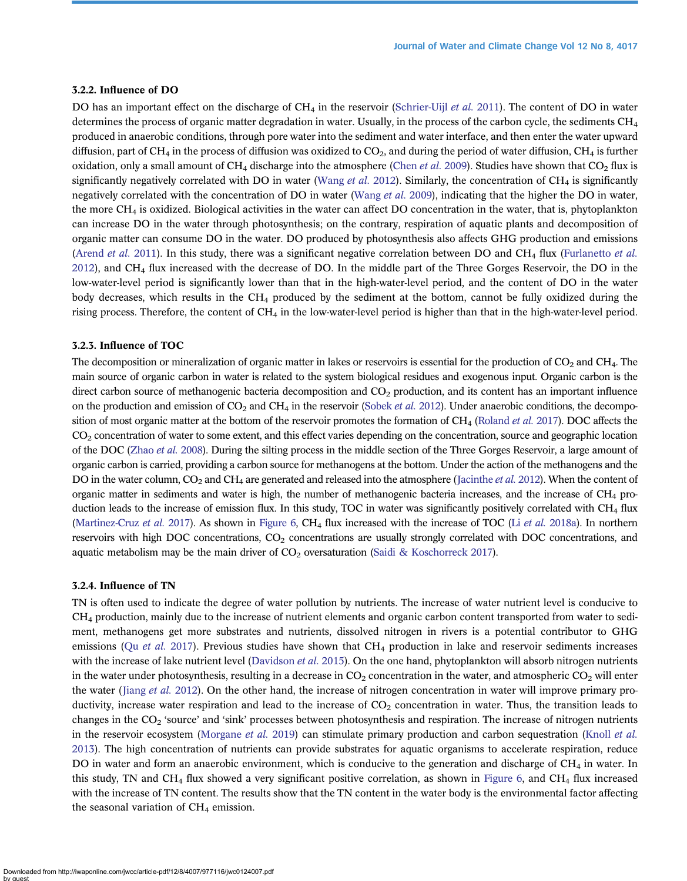# 3.2.2. Influence of DO

DO has an important effect on the discharge of  $CH_4$  in the reservoir ([Schrier-Uijl](#page-13-0) et al. 2011). The content of DO in water determines the process of organic matter degradation in water. Usually, in the process of the carbon cycle, the sediments  $CH_4$ produced in anaerobic conditions, through pore water into the sediment and water interface, and then enter the water upward diffusion, part of CH<sub>4</sub> in the process of diffusion was oxidized to CO<sub>2</sub>, and during the period of water diffusion, CH<sub>4</sub> is further oxidation, only a small amount of  $CH_4$  discharge into the atmosphere ([Chen](#page-11-0) et al. 2009). Studies have shown that  $CO_2$  flux is significantly negatively correlated with DO in water ([Wang](#page-13-0) et al. 2012). Similarly, the concentration of  $CH_4$  is significantly negatively correlated with the concentration of DO in water [\(Wang](#page-13-0) et al. 2009), indicating that the higher the DO in water, the more  $CH_4$  is oxidized. Biological activities in the water can affect DO concentration in the water, that is, phytoplankton can increase DO in the water through photosynthesis; on the contrary, respiration of aquatic plants and decomposition of organic matter can consume DO in the water. DO produced by photosynthesis also affects GHG production and emissions [\(Arend](#page-11-0) et al. 2011). In this study, there was a significant negative correlation between DO and CH<sub>4</sub> flux [\(Furlanetto](#page-12-0) et al. [2012\)](#page-12-0), and CH4 flux increased with the decrease of DO. In the middle part of the Three Gorges Reservoir, the DO in the low-water-level period is significantly lower than that in the high-water-level period, and the content of DO in the water body decreases, which results in the  $CH_4$  produced by the sediment at the bottom, cannot be fully oxidized during the rising process. Therefore, the content of  $CH_4$  in the low-water-level period is higher than that in the high-water-level period.

#### 3.2.3. Influence of TOC

The decomposition or mineralization of organic matter in lakes or reservoirs is essential for the production of  $CO_2$  and  $CH_4$ . The main source of organic carbon in water is related to the system biological residues and exogenous input. Organic carbon is the direct carbon source of methanogenic bacteria decomposition and  $CO<sub>2</sub>$  production, and its content has an important influence on the production and emission of  $CO_2$  and  $CH_4$  in the reservoir ([Sobek](#page-13-0) et al. 2012). Under anaerobic conditions, the decomposition of most organic matter at the bottom of the reservoir promotes the formation of  $CH<sub>4</sub>$  [\(Roland](#page-13-0) *et al.* 2017). DOC affects the  $CO<sub>2</sub>$  concentration of water to some extent, and this effect varies depending on the concentration, source and geographic location of the DOC ([Zhao](#page-13-0) et al. 2008). During the silting process in the middle section of the Three Gorges Reservoir, a large amount of organic carbon is carried, providing a carbon source for methanogens at the bottom. Under the action of the methanogens and the DO in the water column,  $CO_2$  and  $CH_4$  are generated and released into the atmosphere ([Jacinthe](#page-12-0) *et al.* 2012). When the content of organic matter in sediments and water is high, the number of methanogenic bacteria increases, and the increase of CH4 production leads to the increase of emission flux. In this study, TOC in water was significantly positively correlated with CH<sub>4</sub> flux [\(Martinez-Cruz](#page-12-0) et al. 2017). As shown in [Figure 6](#page-8-0), CH<sub>4</sub> flux increased with the increase of TOC (Li et al. [2018a\)](#page-12-0). In northern reservoirs with high DOC concentrations, CO<sub>2</sub> concentrations are usually strongly correlated with DOC concentrations, and aquatic metabolism may be the main driver of  $CO<sub>2</sub>$  oversaturation [\(Saidi & Koschorreck 2017](#page-13-0)).

#### 3.2.4. Influence of TN

TN is often used to indicate the degree of water pollution by nutrients. The increase of water nutrient level is conducive to  $CH<sub>4</sub>$  production, mainly due to the increase of nutrient elements and organic carbon content transported from water to sediment, methanogens get more substrates and nutrients, dissolved nitrogen in rivers is a potential contributor to GHG emissions (Qu [et al.](#page-13-0) 2017). Previous studies have shown that  $CH_4$  production in lake and reservoir sediments increases with the increase of lake nutrient level [\(Davidson](#page-11-0) et al. 2015). On the one hand, phytoplankton will absorb nitrogen nutrients in the water under photosynthesis, resulting in a decrease in  $CO_2$  concentration in the water, and atmospheric  $CO_2$  will enter the water ([Jiang](#page-12-0) et al. 2012). On the other hand, the increase of nitrogen concentration in water will improve primary productivity, increase water respiration and lead to the increase of  $CO<sub>2</sub>$  concentration in water. Thus, the transition leads to changes in the  $CO<sub>2</sub>$  'source' and 'sink' processes between photosynthesis and respiration. The increase of nitrogen nutrients in the reservoir ecosystem [\(Morgane](#page-12-0) et al. 2019) can stimulate primary production and carbon sequestration ([Knoll](#page-12-0) et al. [2013\)](#page-12-0). The high concentration of nutrients can provide substrates for aquatic organisms to accelerate respiration, reduce DO in water and form an anaerobic environment, which is conducive to the generation and discharge of CH<sub>4</sub> in water. In this study, TN and CH<sub>4</sub> flux showed a very significant positive correlation, as shown in [Figure 6](#page-8-0), and CH<sub>4</sub> flux increased with the increase of TN content. The results show that the TN content in the water body is the environmental factor affecting the seasonal variation of  $CH<sub>4</sub>$  emission.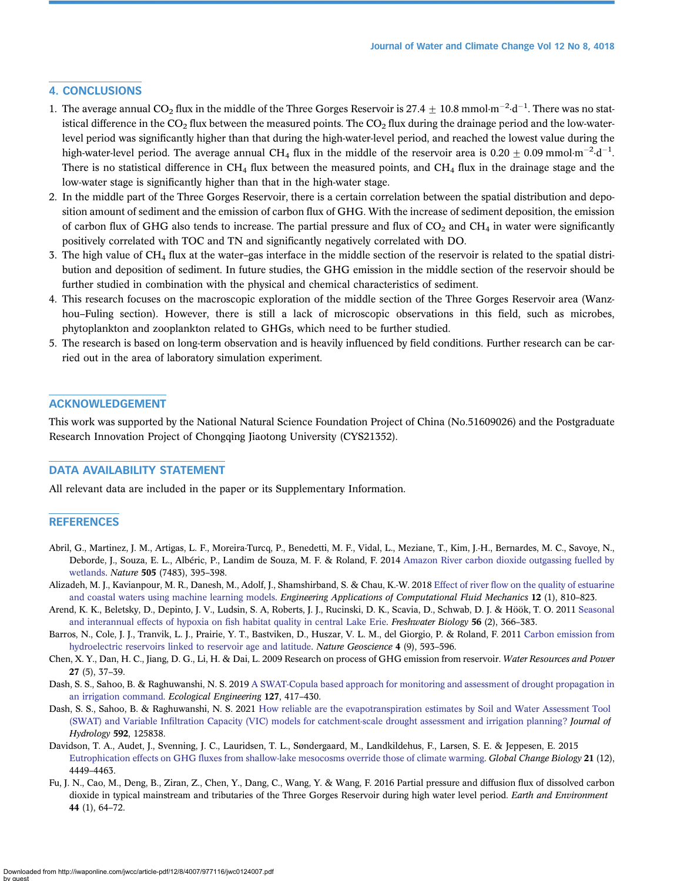# <span id="page-11-0"></span>4. CONCLUSIONS

- 1. The average annual CO<sub>2</sub> flux in the middle of the Three Gorges Reservoir is 27.4  $\pm$  10.8 mmol·m<sup>-2</sup>·d<sup>-1</sup>. There was no statistical difference in the  $CO_2$  flux between the measured points. The  $CO_2$  flux during the drainage period and the low-waterlevel period was significantly higher than that during the high-water-level period, and reached the lowest value during the high-water-level period. The average annual CH<sub>4</sub> flux in the middle of the reservoir area is 0.20  $\pm$  0.09 mmol·m<sup>-2</sup>·d<sup>-1</sup>. There is no statistical difference in  $CH_4$  flux between the measured points, and  $CH_4$  flux in the drainage stage and the low-water stage is significantly higher than that in the high-water stage.
- 2. In the middle part of the Three Gorges Reservoir, there is a certain correlation between the spatial distribution and deposition amount of sediment and the emission of carbon flux of GHG. With the increase of sediment deposition, the emission of carbon flux of GHG also tends to increase. The partial pressure and flux of  $CO<sub>2</sub>$  and  $CH<sub>4</sub>$  in water were significantly positively correlated with TOC and TN and significantly negatively correlated with DO.
- 3. The high value of  $CH_4$  flux at the water–gas interface in the middle section of the reservoir is related to the spatial distribution and deposition of sediment. In future studies, the GHG emission in the middle section of the reservoir should be further studied in combination with the physical and chemical characteristics of sediment.
- 4. This research focuses on the macroscopic exploration of the middle section of the Three Gorges Reservoir area (Wanzhou–Fuling section). However, there is still a lack of microscopic observations in this field, such as microbes, phytoplankton and zooplankton related to GHGs, which need to be further studied.
- 5. The research is based on long-term observation and is heavily influenced by field conditions. Further research can be carried out in the area of laboratory simulation experiment.

#### ACKNOWLEDGEMENT

This work was supported by the National Natural Science Foundation Project of China (No.51609026) and the Postgraduate Research Innovation Project of Chongqing Jiaotong University (CYS21352).

### DATA AVAILABILITY STATEMENT

All relevant data are included in the paper or its Supplementary Information.

#### **REFERENCES**

- Abril, G., Martinez, J. M., Artigas, L. F., Moreira-Turcq, P., Benedetti, M. F., Vidal, L., Meziane, T., Kim, J.-H., Bernardes, M. C., Savoye, N., Deborde, J., Souza, E. L., Albéric, P., Landim de Souza, M. F. & Roland, F. 2014 [Amazon River carbon dioxide outgassing fuelled by](http://dx.doi.org/10.1038/nature12797) [wetlands](http://dx.doi.org/10.1038/nature12797). Nature 505 (7483), 395–398.
- Alizadeh, M. J., Kavianpour, M. R., Danesh, M., Adolf, J., Shamshirband, S. & Chau, K.-W. 2018 Effect of river fl[ow on the quality of estuarine](http://dx.doi.org/10.1080/19942060.2018.1528480) [and coastal waters using machine learning models](http://dx.doi.org/10.1080/19942060.2018.1528480). Engineering Applications of Computational Fluid Mechanics 12 (1), 810-823.
- Arend, K. K., Beletsky, D., Depinto, J. V., Ludsin, S. A, Roberts, J. J., Rucinski, D. K., Scavia, D., Schwab, D. J. & Höök, T. O. 2011 [Seasonal](http://dx.doi.org/10.1111/j.1365-2427.2010.02504.x) and interannual effects of hypoxia on fi[sh habitat quality in central Lake Erie.](http://dx.doi.org/10.1111/j.1365-2427.2010.02504.x) Freshwater Biology 56 (2), 366–383.
- Barros, N., Cole, J. J., Tranvik, L. J., Prairie, Y. T., Bastviken, D., Huszar, V. L. M., del Giorgio, P. & Roland, F. 2011 [Carbon emission from](http://dx.doi.org/10.1038/ngeo1211) [hydroelectric reservoirs linked to reservoir age and latitude](http://dx.doi.org/10.1038/ngeo1211). Nature Geoscience 4 (9), 593–596.
- Chen, X. Y., Dan, H. C., Jiang, D. G., Li, H. & Dai, L. 2009 Research on process of GHG emission from reservoir. Water Resources and Power 27 (5), 37–39.
- Dash, S. S., Sahoo, B. & Raghuwanshi, N. S. 2019 [A SWAT-Copula based approach for monitoring and assessment of drought propagation in](http://dx.doi.org/10.1016/j.ecoleng.2018.11.021) [an irrigation command.](http://dx.doi.org/10.1016/j.ecoleng.2018.11.021) Ecological Engineering 127, 417–430.
- Dash, S. S., Sahoo, B. & Raghuwanshi, N. S. 2021 [How reliable are the evapotranspiration estimates by Soil and Water Assessment Tool](http://dx.doi.org/10.1016/j.jhydrol.2020.125838) (SWAT) and Variable Infi[ltration Capacity \(VIC\) models for catchment-scale drought assessment and irrigation planning?](http://dx.doi.org/10.1016/j.jhydrol.2020.125838) Journal of Hydrology 592, 125838.
- Davidson, T. A., Audet, J., Svenning, J. C., Lauridsen, T. L., Søndergaard, M., Landkildehus, F., Larsen, S. E. & Jeppesen, E. 2015 Eutrophication effects on GHG fl[uxes from shallow-lake mesocosms override those of climate warming.](http://dx.doi.org/10.1111/gcb.13062) Global Change Biology 21 (12), 4449–4463.
- Fu, J. N., Cao, M., Deng, B., Ziran, Z., Chen, Y., Dang, C., Wang, Y. & Wang, F. 2016 Partial pressure and diffusion flux of dissolved carbon dioxide in typical mainstream and tributaries of the Three Gorges Reservoir during high water level period. Earth and Environment 44 (1), 64–72.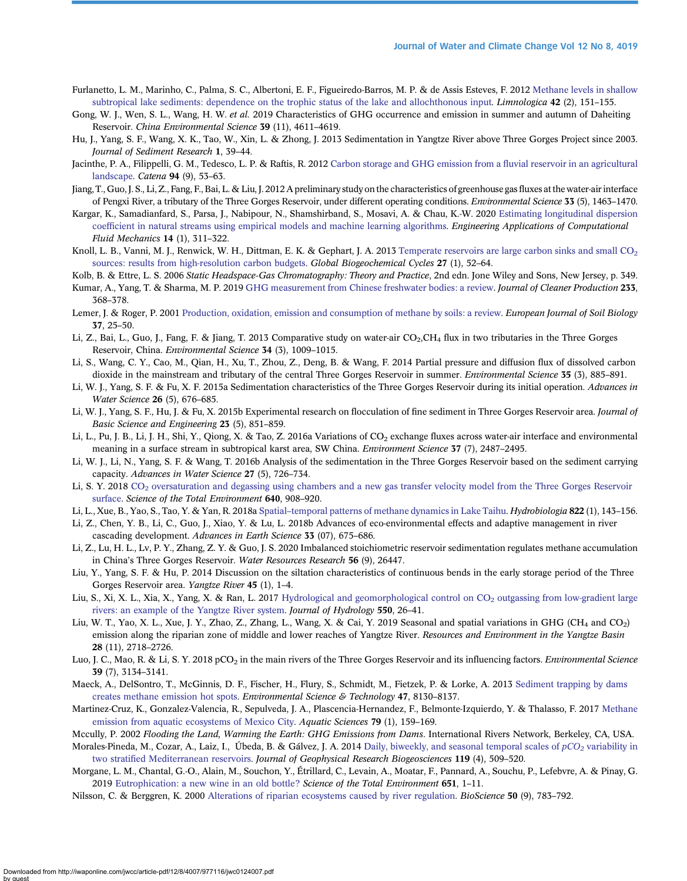- <span id="page-12-0"></span>Furlanetto, L. M., Marinho, C., Palma, S. C., Albertoni, E. F., Figueiredo-Barros, M. P. & de Assis Esteves, F. 2012 [Methane levels in shallow](http://dx.doi.org/10.1016/j.limno.2011.09.009) [subtropical lake sediments: dependence on the trophic status of the lake and allochthonous input](http://dx.doi.org/10.1016/j.limno.2011.09.009). *Limnologica* 42 (2), 151–155.
- Gong, W. J., Wen, S. L., Wang, H. W. et al. 2019 Characteristics of GHG occurrence and emission in summer and autumn of Daheiting Reservoir. China Environmental Science 39 (11), 4611–4619.
- Hu, J., Yang, S. F., Wang, X. K., Tao, W., Xin, L. & Zhong, J. 2013 Sedimentation in Yangtze River above Three Gorges Project since 2003. Journal of Sediment Research 1, 39–44.
- Jacinthe, P. A., Filippelli, G. M., Tedesco, L. P. & Raftis, R. 2012 [Carbon storage and GHG emission from a](http://dx.doi.org/10.1016/j.catena.2011.03.012) fluvial reservoir in an agricultural [landscape.](http://dx.doi.org/10.1016/j.catena.2011.03.012) Catena 94 (9), 53–63.
- Jiang, T., Guo, J. S., Li, Z., Fang, F., Bai, L. & Liu, J. 2012 A preliminary study on the characteristics of greenhouse gas fluxes at the water-air interface of Pengxi River, a tributary of the Three Gorges Reservoir, under different operating conditions. Environmental Science 33 (5), 1463–1470.
- Kargar, K., Samadianfard, S., Parsa, J., Nabipour, N., Shamshirband, S., Mosavi, A. & Chau, K.-W. 2020 [Estimating longitudinal dispersion](http://dx.doi.org/10.1080/19942060.2020.1712260) coeffi[cient in natural streams using empirical models and machine learning algorithms](http://dx.doi.org/10.1080/19942060.2020.1712260). Engineering Applications of Computational Fluid Mechanics 14 (1), 311–322.
- Knoll, L. B., Vanni, M. J., Renwick, W. H., Dittman, E. K. & Gephart, J. A. 2013 Temperate reservoirs are large carbon sinks and small CO<sub>2</sub> [sources: results from high-resolution carbon budgets](http://dx.doi.org/10.1002/gbc.20020). Global Biogeochemical Cycles 27 (1), 52–64.
- Kolb, B. & Ettre, L. S. 2006 Static Headspace-Gas Chromatography: Theory and Practice, 2nd edn. Jone Wiley and Sons, New Jersey, p. 349.
- Kumar, A., Yang, T. & Sharma, M. P. 2019 [GHG measurement from Chinese freshwater bodies: a review.](http://dx.doi.org/10.1016/j.jclepro.2019.06.052) Journal of Cleaner Production 233, 368–378.
- Lemer, J. & Roger, P. 2001 [Production, oxidation, emission and consumption of methane by soils: a review.](http://dx.doi.org/10.1016/S1164-5563(01)01067-6) European Journal of Soil Biology 37, 25–50.
- Li, Z., Bai, L., Guo, J., Fang, F. & Jiang, T. 2013 Comparative study on water-air CO<sub>2</sub>,CH<sub>4</sub> flux in two tributaries in the Three Gorges Reservoir, China. Environmental Science 34 (3), 1009–1015.
- Li, S., Wang, C. Y., Cao, M., Qian, H., Xu, T., Zhou, Z., Deng, B. & Wang, F. 2014 Partial pressure and diffusion flux of dissolved carbon dioxide in the mainstream and tributary of the central Three Gorges Reservoir in summer. *Environmental Science* 35 (3), 885–891.
- Li, W. J., Yang, S. F. & Fu, X. F. 2015a Sedimentation characteristics of the Three Gorges Reservoir during its initial operation. Advances in Water Science 26 (5), 676–685.
- Li, W. J., Yang, S. F., Hu, J. & Fu, X. 2015b Experimental research on flocculation of fine sediment in Three Gorges Reservoir area. Journal of Basic Science and Engineering 23 (5), 851–859.
- Li, L., Pu, J. B., Li, J. H., Shi, Y., Qiong, X. & Tao, Z. 2016a Variations of CO<sub>2</sub> exchange fluxes across water-air interface and environmental meaning in a surface stream in subtropical karst area, SW China. Environment Science 37 (7), 2487–2495.
- Li, W. J., Li, N., Yang, S. F. & Wang, T. 2016b Analysis of the sedimentation in the Three Gorges Reservoir based on the sediment carrying capacity. Advances in Water Science 27 (5), 726–734.
- Li, S. Y. 2018 CO<sub>2</sub> [oversaturation and degassing using chambers and a new gas transfer velocity model from the Three Gorges Reservoir](http://dx.doi.org/10.1016/j.scitotenv.2018.05.345) [surface.](http://dx.doi.org/10.1016/j.scitotenv.2018.05.345) Science of the Total Environment 640, 908-920.
- Li, L., Xue, B., Yao, S., Tao, Y. & Yan, R. 2018a Spatial–[temporal patterns of methane dynamics in Lake Taihu](http://dx.doi.org/10.1007/s10750-018-3670-4). Hydrobiologia 822 (1), 143–156.
- Li, Z., Chen, Y. B., Li, C., Guo, J., Xiao, Y. & Lu, L. 2018b Advances of eco-environmental effects and adaptive management in river cascading development. Advances in Earth Science 33 (07), 675–686.
- Li, Z., Lu, H. L., Lv, P. Y., Zhang, Z. Y. & Guo, J. S. 2020 Imbalanced stoichiometric reservoir sedimentation regulates methane accumulation in China's Three Gorges Reservoir. Water Resources Research 56 (9), 26447.
- Liu, Y., Yang, S. F. & Hu, P. 2014 Discussion on the siltation characteristics of continuous bends in the early storage period of the Three Gorges Reservoir area. Yangtze River 45 (1), 1–4.
- Liu, S., Xi, X. L., Xia, X., Yang, X. & Ran, L. 2017 Hydrological and geomorphological control on CO<sub>2</sub> [outgassing from low-gradient large](http://dx.doi.org/10.1016/j.jhydrol.2017.04.044) [rivers: an example of the Yangtze River system](http://dx.doi.org/10.1016/j.jhydrol.2017.04.044). Journal of Hydrology 550, 26–41.
- Liu, W. T., Yao, X. L., Xue, J. Y., Zhao, Z., Zhang, L., Wang, X. & Cai, Y. 2019 Seasonal and spatial variations in GHG (CH<sub>4</sub> and CO<sub>2</sub>) emission along the riparian zone of middle and lower reaches of Yangtze River. Resources and Environment in the Yangtze Basin 28 (11), 2718–2726.
- Luo, J. C., Mao, R. & Li, S. Y. 2018 pCO<sub>2</sub> in the main rivers of the Three Gorges Reservoir and its influencing factors. *Environmental Science* 39 (7), 3134–3141.
- Maeck, A., DelSontro, T., McGinnis, D. F., Fischer, H., Flury, S., Schmidt, M., Fietzek, P. & Lorke, A. 2013 [Sediment trapping by dams](http://dx.doi.org/10.1021/es4003907) [creates methane emission hot spots.](http://dx.doi.org/10.1021/es4003907) Environmental Science & Technology 47, 8130–8137.
- Martinez-Cruz, K., Gonzalez-Valencia, R., Sepulveda, J. A., Plascencia-Hernandez, F., Belmonte-Izquierdo, Y. & Thalasso, F. 2017 [Methane](http://dx.doi.org/10.1007/s00027-016-0487-y) [emission from aquatic ecosystems of Mexico City.](http://dx.doi.org/10.1007/s00027-016-0487-y) Aquatic Sciences 79 (1), 159–169.
- Mccully, P. 2002 Flooding the Land, Warming the Earth: GHG Emissions from Dams. International Rivers Network, Berkeley, CA, USA.
- Morales-Pineda, M., Cozar, A., Laiz, I., Úbeda, B. & Gálvez, J. A. 2014 [Daily, biweekly, and seasonal temporal scales of](http://dx.doi.org/10.1002/2013JG002317)  $pCO<sub>2</sub>$  [variability in](http://dx.doi.org/10.1002/2013JG002317) two stratifi[ed Mediterranean reservoirs.](http://dx.doi.org/10.1002/2013JG002317) Journal of Geophysical Research Biogeosciences 119 (4), 509–520.
- Morgane, L. M., Chantal, G.-O., Alain, M., Souchon, Y., Étrillard, C., Levain, A., Moatar, F., Pannard, A., Souchu, P., Lefebvre, A. & Pinay, G. 2019 [Eutrophication: a new wine in an old bottle?](http://dx.doi.org/10.1016/j.scitotenv.2018.09.139) Science of the Total Environment 651, 1-11.
- Nilsson, C. & Berggren, K. 2000 [Alterations of riparian ecosystems caused by river regulation.](http://dx.doi.org/10.1641/0006-3568(2000)050[0783:AORECB]2.0.CO;2) BioScience 50 (9), 783–792.